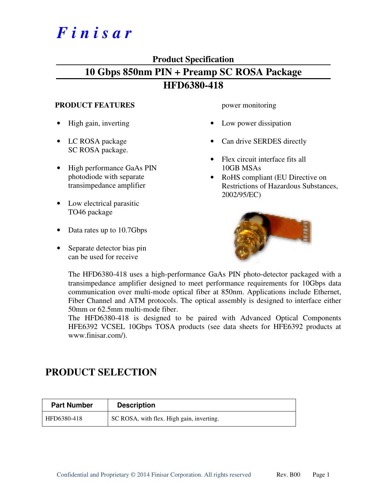# *F i n i s a r*

## **Product Specification**

# **10 Gbps 850nm PIN + Preamp SC ROSA Package HFD6380-418**

### **PRODUCT FEATURES**

- High gain, inverting
- LC ROSA package SC ROSA package.
- High performance GaAs PIN photodiode with separate transimpedance amplifier
- Low electrical parasitic TO46 package
- Data rates up to 10.7Gbps
- Separate detector bias pin can be used for receive

power monitoring

- Low power dissipation
- Can drive SERDES directly
- Flex circuit interface fits all 10GB MSAs
- RoHS compliant (EU Directive on Restrictions of Hazardous Substances, 2002/95/EC)



The HFD6380-418 uses a high-performance GaAs PIN photo-detector packaged with a transimpedance amplifier designed to meet performance requirements for 10Gbps data communication over multi-mode optical fiber at 850nm. Applications include Ethernet, Fiber Channel and ATM protocols. The optical assembly is designed to interface either 50mm or 62.5mm multi-mode fiber.

The HFD6380-418 is designed to be paired with Advanced Optical Components HFE6392 VCSEL 10Gbps TOSA products (see data sheets for HFE6392 products at www.finisar.com/).

# **PRODUCT SELECTION**

| <b>Part Number</b> | <b>Description</b>                        |
|--------------------|-------------------------------------------|
| HFD6380-418        | SC ROSA, with flex. High gain, inverting. |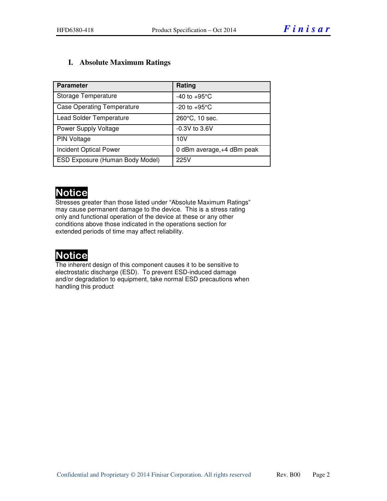### **I. Absolute Maximum Ratings**

| <b>Parameter</b>                  | Rating                     |
|-----------------------------------|----------------------------|
| Storage Temperature               | $-40$ to $+95^{\circ}$ C   |
| <b>Case Operating Temperature</b> | $-20$ to $+95^{\circ}$ C   |
| <b>Lead Solder Temperature</b>    | 260°C, 10 sec.             |
| Power Supply Voltage              | $-0.3V$ to 3.6V            |
| <b>PIN Voltage</b>                | 10V                        |
| <b>Incident Optical Power</b>     | 0 dBm average, +4 dBm peak |
| ESD Exposure (Human Body Model)   | 225V                       |

# **Notice**

Stresses greater than those listed under "Absolute Maximum Ratings" may cause permanent damage to the device. This is a stress rating only and functional operation of the device at these or any other conditions above those indicated in the operations section for extended periods of time may affect reliability.

# Notice

The inherent design of this component causes it to be sensitive to electrostatic discharge (ESD). To prevent ESD-induced damage and/or degradation to equipment, take normal ESD precautions when handling this product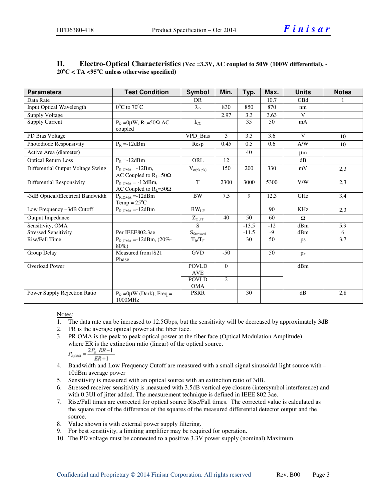| <b>Parameters</b>                 | <b>Test Condition</b>                                    | <b>Symbol</b>                  | Min.           | Typ.    | Max.  | <b>Units</b> | <b>Notes</b>     |
|-----------------------------------|----------------------------------------------------------|--------------------------------|----------------|---------|-------|--------------|------------------|
| Data Rate                         |                                                          | <b>DR</b>                      |                |         | 10.7  | GBd          |                  |
| <b>Input Optical Wavelength</b>   | $0^{\circ}$ C to $70^{\circ}$ C                          | $\lambda_{\rm P}$              | 830            | 850     | 870   | nm           |                  |
| Supply Voltage                    |                                                          |                                | 2.97           | 3.3     | 3.63  | $\mathbf{V}$ |                  |
| <b>Supply Current</b>             | $P_R = 0\mu W$ , $R_I = 50\Omega$ AC<br>coupled          | $I_{CC}$                       |                | 35      | 50    | mA           |                  |
| PD Bias Voltage                   |                                                          | VPD_Bias                       | $\mathbf{3}$   | 3.3     | 3.6   | $\mathbf{V}$ | 10               |
| Photodiode Responsivity           | $P_R = -12dBm$                                           | Resp                           | 0.45           | 0.5     | 0.6   | A/W          | 10               |
| Active Area (diameter)            |                                                          |                                |                | 40      |       | μm           |                  |
| <b>Optical Return Loss</b>        | $P_R = -12dBm$                                           | ORL                            | 12             |         |       | dB           |                  |
| Differential Output Voltage Swing | $P_{R.OMA} = -12Bm$ ,<br>AC Coupled to $R_1 = 50\Omega$  | $V_{o(\text{pk-pk})}$          | 150            | 200     | 330   | mV           | 2,3              |
| <b>Differential Responsivity</b>  | $P_{R,OMA} = -12dBm$ ,<br>AC Coupled to $R_1 = 50\Omega$ | T                              | 2300           | 3000    | 5300  | V/W          | $\overline{2,3}$ |
| -3dB Optical/Electrical Bandwidth | $P_{R,OMA} = -12dBm$<br>Temp = $25^{\circ}$ C            | <b>BW</b>                      | 7.5            | 9       | 12.3  | GHz          | 3,4              |
| Low Frequency -3dB Cutoff         | $P_{ROMA} = -12dBm$                                      | $BW_{LF}$                      |                |         | 90    | KHz          | 2,3              |
| Output Impedance                  |                                                          | $Z_{OUT}$                      | 40             | 50      | 60    | $\Omega$     |                  |
| Sensitivity, OMA                  |                                                          | S                              |                | $-13.5$ | $-12$ | dBm          | 5,9              |
| <b>Stressed Sensitivity</b>       | Per IEEE802.3ae                                          | $\mathbf{S}_{\text{Stressed}}$ |                | $-11.5$ | -9    | dBm          | 6                |
| Rise/Fall Time                    | $P_{R,OMA} = -12dBm$ , (20%-<br>$80\%$                   | $T_R/T_F$                      |                | 30      | 50    | ps           | 3,7              |
| Group Delay                       | Measured from IS211<br>Phase                             | <b>GVD</b>                     | $-50$          |         | 50    | ps           |                  |
| <b>Overload Power</b>             |                                                          | <b>POVLD</b>                   | $\overline{0}$ |         |       | dBm          |                  |
|                                   |                                                          | <b>AVE</b>                     |                |         |       |              |                  |
|                                   |                                                          | <b>POVLD</b>                   | 2              |         |       |              |                  |
|                                   |                                                          | <b>OMA</b>                     |                |         |       |              |                  |
| Power Supply Rejection Ratio      | $P_R = 0\mu W$ (Dark), Freq =<br>1000MHz                 | <b>PSRR</b>                    |                | 30      |       | dB           | 2,8              |

#### **II.** Electro-Optical Characteristics (Vcc =3.3V, AC coupled to 50W (100W differential), -**20<sup>o</sup>C < TA <95<sup>o</sup>C unless otherwise specified)**

#### Notes:

- 1. The data rate can be increased to 12.5Gbps, but the sensitivity will be decreased by approximately 3dB
- 2. PR is the average optical power at the fiber face.
- 3. PR OMA is the peak to peak optical power at the fiber face (Optical Modulation Amplitude) where ER is the extinction ratio (linear) of the optical source.<br> $2P_0$   $RR-1$

$$
P_{R, CMA} = \frac{\Delta T_R}{ER + 1}
$$

- 4. Bandwidth and Low Frequency Cutoff are measured with a small signal sinusoidal light source with 10dBm average power
- 5. Sensitivity is measured with an optical source with an extinction ratio of 3dB.
- 6. Stressed receiver sensitivity is measured with 3.5dB vertical eye closure (intersymbol interference) and with 0.3UI of jitter added. The measurement technique is defined in IEEE 802.3ae.
- 7. Rise/Fall times are corrected for optical source Rise/Fall times. The corrected value is calculated as the square root of the difference of the squares of the measured differential detector output and the source.
- 8. Value shown is with external power supply filtering.
- 9. For best sensitivity, a limiting amplifier may be required for operation.
- 10. The PD voltage must be connected to a positive 3.3V power supply (nominal).Maximum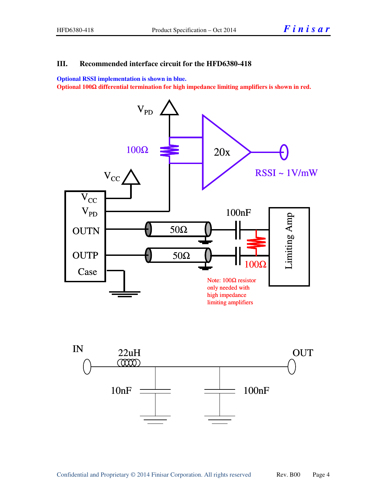#### **III. Recommended interface circuit for the HFD6380-418**

**Optional RSSI implementation is shown in blue.** 

**Optional 100**Ω **differential termination for high impedance limiting amplifiers is shown in red.** 



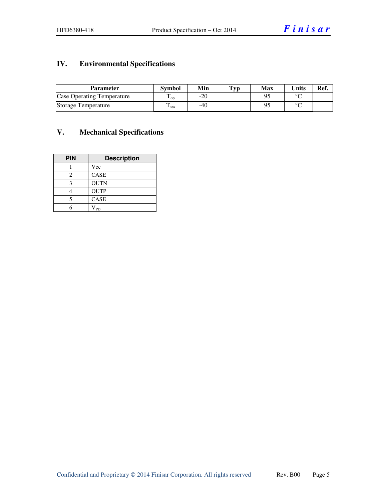# **IV. Environmental Specifications**

| <b>Parameter</b>                  | <b>Symbol</b>          | Min | $\mathbf{Typ}$ | Max | <b>Units</b> | Ref. |
|-----------------------------------|------------------------|-----|----------------|-----|--------------|------|
| <b>Case Operating Temperature</b> | m<br>± ດກ              | -20 |                |     | $\sim$       |      |
| Storage Temperature               | ᡣ<br>$\frac{1}{1}$ sto | -40 |                |     | $\sim$       |      |

## **V. Mechanical Specifications**

| <b>PIN</b> | <b>Description</b> |
|------------|--------------------|
|            | Vcc                |
| 2          | CASE               |
| 2          | <b>OUTN</b>        |
|            | <b>OUTP</b>        |
| 5          | <b>CASE</b>        |
|            | <b>PD</b>          |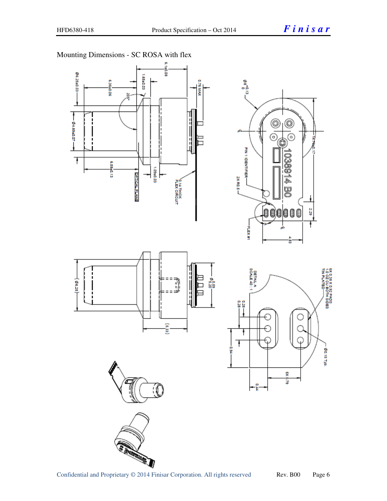ğ

6X 0.38 X 0.92 PADS<br>1.0 QZ CU BOTH SIDES<br>TIN PLATED——

00.15 TW



Mounting Dimensions - SC ROSA with flex